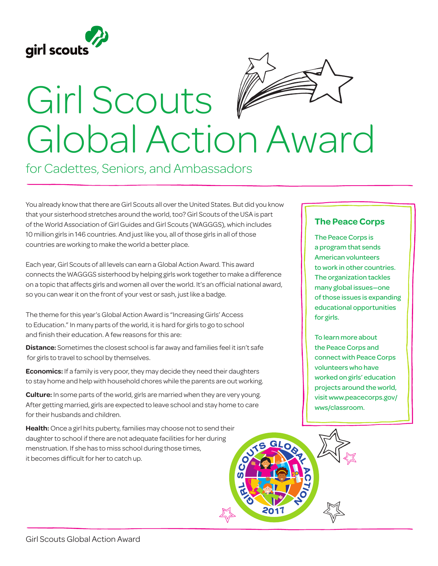



## Girl Scouts Global Action Award

for Cadettes, Seniors, and Ambassadors

You already know that there are Girl Scouts all over the United States. But did you know that your sisterhood stretches around the world, too? Girl Scouts of the USA is part of the World Association of Girl Guides and Girl Scouts (WAGGGS), which includes 10 million girls in 146 countries. And just like you, all of those girls in all of those countries are working to make the world a better place.

Each year, Girl Scouts of all levels can earn a Global Action Award. This award connects the WAGGGS sisterhood by helping girls work together to make a difference on a topic that affects girls and women all over the world. It's an official national award, so you can wear it on the front of your vest or sash, just like a badge.

The theme for this year's Global Action Award is "Increasing Girls' Access to Education." In many parts of the world, it is hard for girls to go to school and finish their education. A few reasons for this are:

**Distance:** Sometimes the closest school is far away and families feel it isn't safe for girls to travel to school by themselves.

**Economics:** If a family is very poor, they may decide they need their daughters to stay home and help with household chores while the parents are out working.

**Culture:** In some parts of the world, girls are married when they are very young. After getting married, girls are expected to leave school and stay home to care for their husbands and children.

**Health:** Once a girl hits puberty, families may choose not to send their daughter to school if there are not adequate facilities for her during menstruation. If she has to miss school during those times, it becomes difficult for her to catch up.

## **The Peace Corps**

The Peace Corps is a program that sends American volunteers to work in other countries. The organization tackles many global issues—one of those issues is expanding educational opportunities for girls.

To learn more about the Peace Corps and connect with Peace Corps volunteers who have worked on girls' education projects around the world, visit www.peacecorps.gov/ wws/classroom.